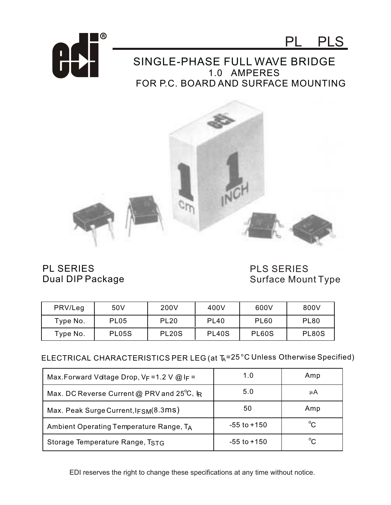



## SINGLE-PHASE FULL WAVE BRIDGE 1.0 AMPERES FOR P.C. BOARD AND SURFACE MOUNTING



PL SERIES Dual DIP Package PLS SERIES Surface Mount Type

| PRV/Leg  | 50V              | 200V               | 400V               | 600V         | 800V        |
|----------|------------------|--------------------|--------------------|--------------|-------------|
| Type No. | PL <sub>05</sub> | <b>PL20</b>        | <b>PL40</b>        | <b>PL60</b>  | <b>PL80</b> |
| Type No. | <b>PL05S</b>     | PL <sub>20</sub> S | PL <sub>40</sub> S | <b>PL60S</b> | PL80S       |

## ELECTRICAL CHARACTERISTICS PER LEG (at T<sub>A</sub>=25 °C Unless Otherwise Specified)

| Max. Forward Voltage Drop, $V_F = 1.2$ V @ I <sub>F</sub> = | 1.0             | Amp          |
|-------------------------------------------------------------|-----------------|--------------|
| Max. DC Reverse Current @ PRV and $25^{\circ}$ C, IR        | 5.0             | μA           |
| Max. Peak Surge Current, IFSM(8.3ms)                        | 50              | Amp          |
| Ambient Operating Temperature Range, TA                     | $-55$ to $+150$ | $^{\circ}$ C |
| Storage Temperature Range, TSTG                             | $-55$ to $+150$ | $^{\circ}C$  |

EDI reserves the right to change these specifications at any time without notice.